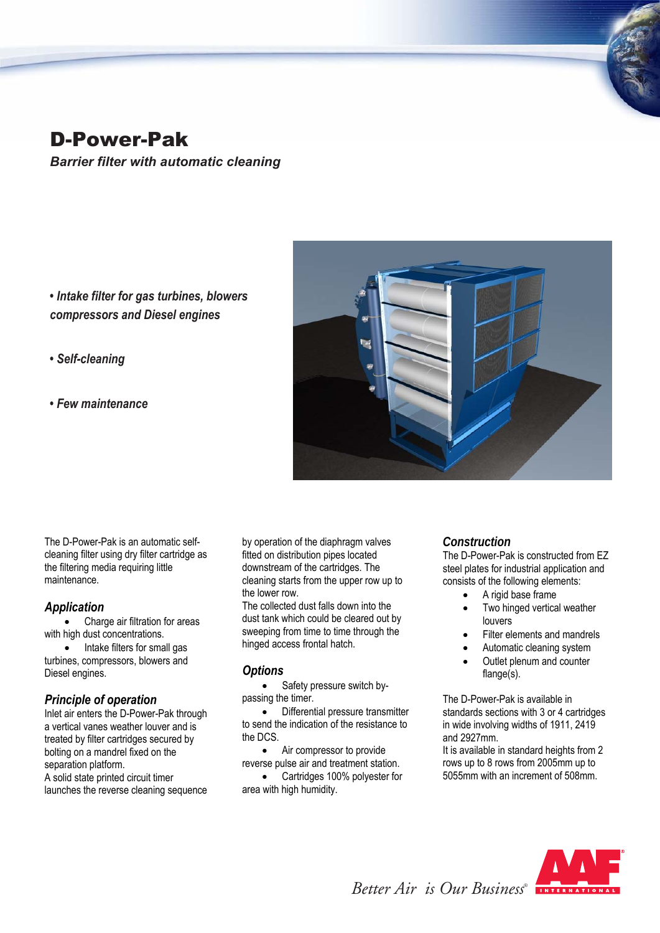# D-Power-Pak

*Barrier filter with automatic cleaning*

*• Intake filter for gas turbines, blowers compressors and Diesel engines*

## *• Self-cleaning*

*• Few maintenance*



The D-Power-Pak is an automatic selfcleaning filter using dry filter cartridge as the filtering media requiring little maintenance.

## *Application*

 Charge air filtration for areas with high dust concentrations.

• Intake filters for small gas turbines, compressors, blowers and Diesel engines.

## *Principle of operation*

Inlet air enters the D-Power-Pak through a vertical vanes weather louver and is treated by filter cartridges secured by bolting on a mandrel fixed on the separation platform. A solid state printed circuit timer

launches the reverse cleaning sequence

by operation of the diaphragm valves fitted on distribution pipes located downstream of the cartridges. The cleaning starts from the upper row up to the lower row.

The collected dust falls down into the dust tank which could be cleared out by sweeping from time to time through the hinged access frontal hatch.

## *Options*

 Safety pressure switch bypassing the timer.

 Differential pressure transmitter to send the indication of the resistance to the DCS.

 Air compressor to provide reverse pulse air and treatment station.

 Cartridges 100% polyester for area with high humidity.

## *Construction*

The D-Power-Pak is constructed from EZ steel plates for industrial application and consists of the following elements:

- A rigid base frame
- Two hinged vertical weather louvers
- Filter elements and mandrels
- Automatic cleaning system
- Outlet plenum and counter flange(s).

The D-Power-Pak is available in standards sections with 3 or 4 cartridges in wide involving widths of 1911, 2419 and 2927mm.

It is available in standard heights from 2 rows up to 8 rows from 2005mm up to 5055mm with an increment of 508mm.



*Better Air is Our Business®*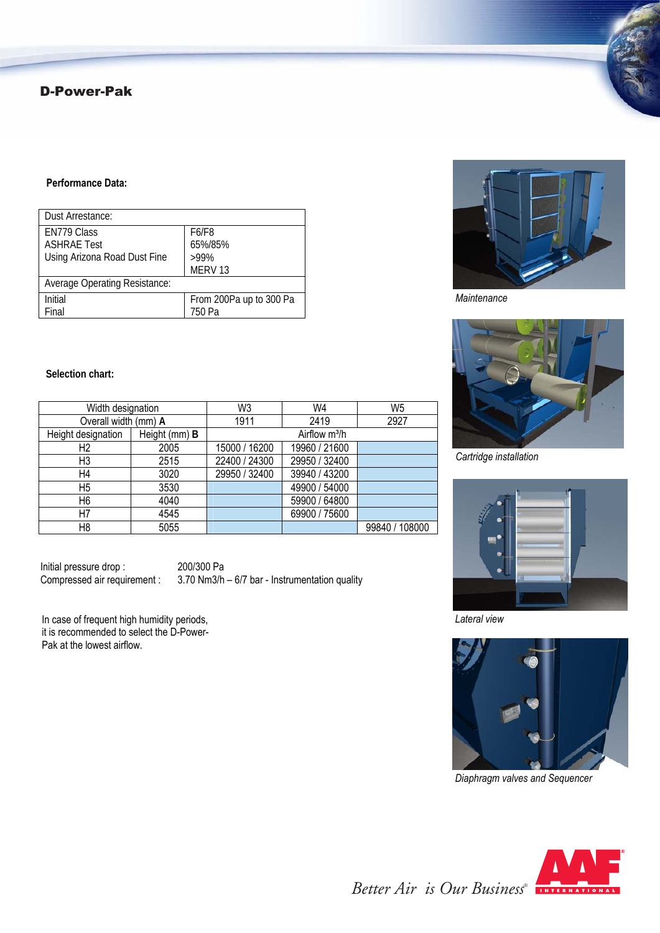## D-Power-Pak

#### **Performance Data:**

| Dust Arrestance:                                                  |                                                   |
|-------------------------------------------------------------------|---------------------------------------------------|
| EN779 Class<br><b>ASHRAE Test</b><br>Using Arizona Road Dust Fine | F6/F8<br>65%/85%<br>$>99\%$<br>MERV <sub>13</sub> |
| <b>Average Operating Resistance:</b>                              |                                                   |
| <b>Initial</b><br>Final                                           | From 200Pa up to 300 Pa<br>750 Pa                 |

*Maintenance*



*Cartridge installation*



*Lateral view*



*Diaphragm valves and Sequencer*



#### **Selection chart:**

| Width designation    |               | W3                        | W4            | W <sub>5</sub> |  |
|----------------------|---------------|---------------------------|---------------|----------------|--|
| Overall width (mm) A |               | 1911                      | 2419          | 2927           |  |
| Height designation   | Height (mm) B | Airflow m <sup>3</sup> /h |               |                |  |
| H <sub>2</sub>       | 2005          | 15000 / 16200             | 19960 / 21600 |                |  |
| H <sub>3</sub>       | 2515          | 22400 / 24300             | 29950 / 32400 |                |  |
| H4                   | 3020          | 29950 / 32400             | 39940 / 43200 |                |  |
| H <sub>5</sub>       | 3530          |                           | 49900 / 54000 |                |  |
| H <sub>6</sub>       | 4040          |                           | 59900 / 64800 |                |  |
| H7                   | 4545          |                           | 69900 / 75600 |                |  |
| H8                   | 5055          |                           |               | 99840 / 108000 |  |

Initial pressure drop : 200/300 Pa<br>Compressed air requirement : 3.70 Nm3/h

 $3.70$  Nm3/h – 6/7 bar - Instrumentation quality

In case of frequent high humidity periods, it is recommended to select the D-Power-Pak at the lowest airflow.

*Better Air is Our Business®*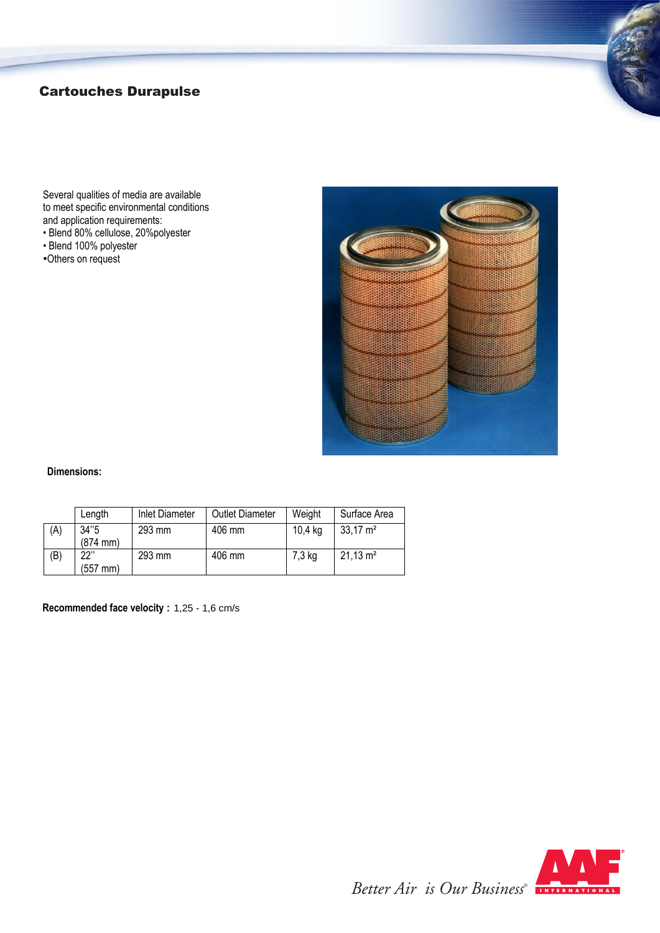## Cartouches Durapulse

Several qualities of media are available to meet specific environmental conditions and application requirements:

- Blend 80% cellulose, 20%polyester
- Blend 100% polyester
- •Others on request



#### **Dimensions:**

|     | Length                       | Inlet Diameter | <b>Outlet Diameter</b> | Weight  | Surface Area        |
|-----|------------------------------|----------------|------------------------|---------|---------------------|
| (A) | 34"5<br>$(874 \, \text{mm})$ | 293 mm         | 406 mm                 | 10,4 kg | $33,17 \text{ m}^2$ |
| (B) | 22"<br>(557 mm)              | 293 mm         | 406 mm                 | 7,3 kg  | $21,13 \text{ m}^2$ |

**Recommended face velocity :** 1,25 - 1,6 cm/s